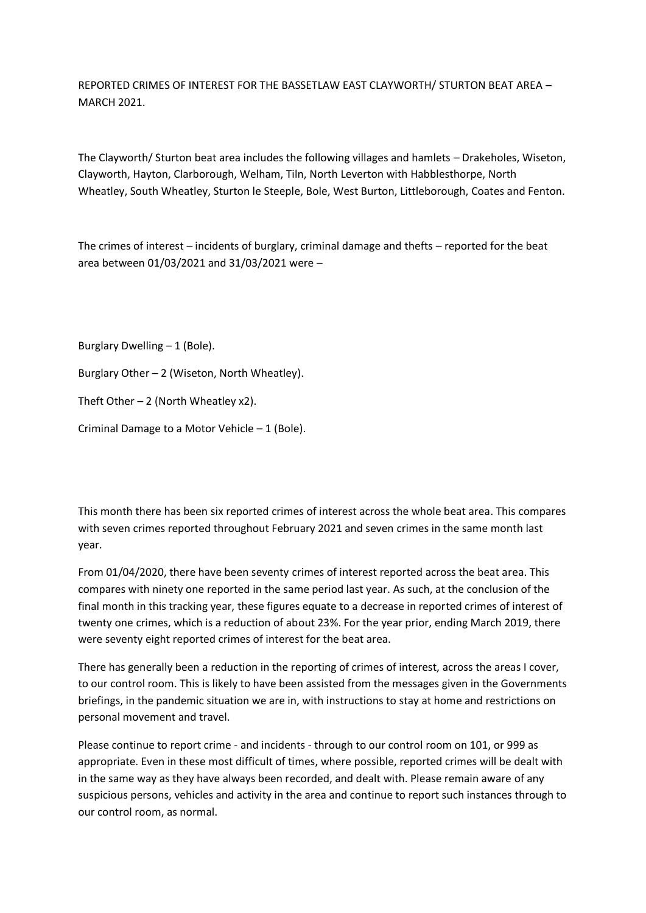REPORTED CRIMES OF INTEREST FOR THE BASSETLAW EAST CLAYWORTH/ STURTON BEAT AREA – MARCH 2021.

The Clayworth/ Sturton beat area includes the following villages and hamlets – Drakeholes, Wiseton, Clayworth, Hayton, Clarborough, Welham, Tiln, North Leverton with Habblesthorpe, North Wheatley, South Wheatley, Sturton le Steeple, Bole, West Burton, Littleborough, Coates and Fenton.

The crimes of interest – incidents of burglary, criminal damage and thefts – reported for the beat area between 01/03/2021 and 31/03/2021 were –

Burglary Dwelling – 1 (Bole).

Burglary Other – 2 (Wiseton, North Wheatley).

Theft Other  $-2$  (North Wheatley x2).

Criminal Damage to a Motor Vehicle – 1 (Bole).

This month there has been six reported crimes of interest across the whole beat area. This compares with seven crimes reported throughout February 2021 and seven crimes in the same month last year.

From 01/04/2020, there have been seventy crimes of interest reported across the beat area. This compares with ninety one reported in the same period last year. As such, at the conclusion of the final month in this tracking year, these figures equate to a decrease in reported crimes of interest of twenty one crimes, which is a reduction of about 23%. For the year prior, ending March 2019, there were seventy eight reported crimes of interest for the beat area.

There has generally been a reduction in the reporting of crimes of interest, across the areas I cover, to our control room. This is likely to have been assisted from the messages given in the Governments briefings, in the pandemic situation we are in, with instructions to stay at home and restrictions on personal movement and travel.

Please continue to report crime - and incidents - through to our control room on 101, or 999 as appropriate. Even in these most difficult of times, where possible, reported crimes will be dealt with in the same way as they have always been recorded, and dealt with. Please remain aware of any suspicious persons, vehicles and activity in the area and continue to report such instances through to our control room, as normal.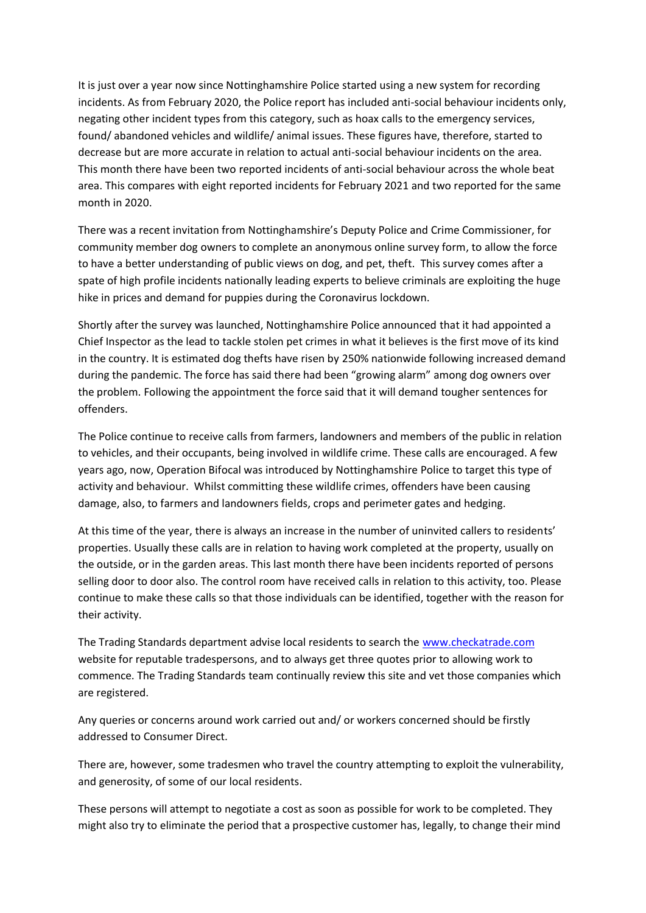It is just over a year now since Nottinghamshire Police started using a new system for recording incidents. As from February 2020, the Police report has included anti-social behaviour incidents only, negating other incident types from this category, such as hoax calls to the emergency services, found/ abandoned vehicles and wildlife/ animal issues. These figures have, therefore, started to decrease but are more accurate in relation to actual anti-social behaviour incidents on the area. This month there have been two reported incidents of anti-social behaviour across the whole beat area. This compares with eight reported incidents for February 2021 and two reported for the same month in 2020.

There was a recent invitation from Nottinghamshire's Deputy Police and Crime Commissioner, for community member dog owners to complete an anonymous online survey form, to allow the force to have a better understanding of public views on dog, and pet, theft. This survey comes after a spate of high profile incidents nationally leading experts to believe criminals are exploiting the huge hike in prices and demand for puppies during the Coronavirus lockdown.

Shortly after the survey was launched, Nottinghamshire Police announced that it had appointed a Chief Inspector as the lead to tackle stolen pet crimes in what it believes is the first move of its kind in the country. It is estimated dog thefts have risen by 250% nationwide following increased demand during the pandemic. The force has said there had been "growing alarm" among dog owners over the problem. Following the appointment the force said that it will demand tougher sentences for offenders.

The Police continue to receive calls from farmers, landowners and members of the public in relation to vehicles, and their occupants, being involved in wildlife crime. These calls are encouraged. A few years ago, now, Operation Bifocal was introduced by Nottinghamshire Police to target this type of activity and behaviour. Whilst committing these wildlife crimes, offenders have been causing damage, also, to farmers and landowners fields, crops and perimeter gates and hedging.

At this time of the year, there is always an increase in the number of uninvited callers to residents' properties. Usually these calls are in relation to having work completed at the property, usually on the outside, or in the garden areas. This last month there have been incidents reported of persons selling door to door also. The control room have received calls in relation to this activity, too. Please continue to make these calls so that those individuals can be identified, together with the reason for their activity.

The Trading Standards department advise local residents to search the [www.checkatrade.com](about:blank) website for reputable tradespersons, and to always get three quotes prior to allowing work to commence. The Trading Standards team continually review this site and vet those companies which are registered.

Any queries or concerns around work carried out and/ or workers concerned should be firstly addressed to Consumer Direct.

There are, however, some tradesmen who travel the country attempting to exploit the vulnerability, and generosity, of some of our local residents.

These persons will attempt to negotiate a cost as soon as possible for work to be completed. They might also try to eliminate the period that a prospective customer has, legally, to change their mind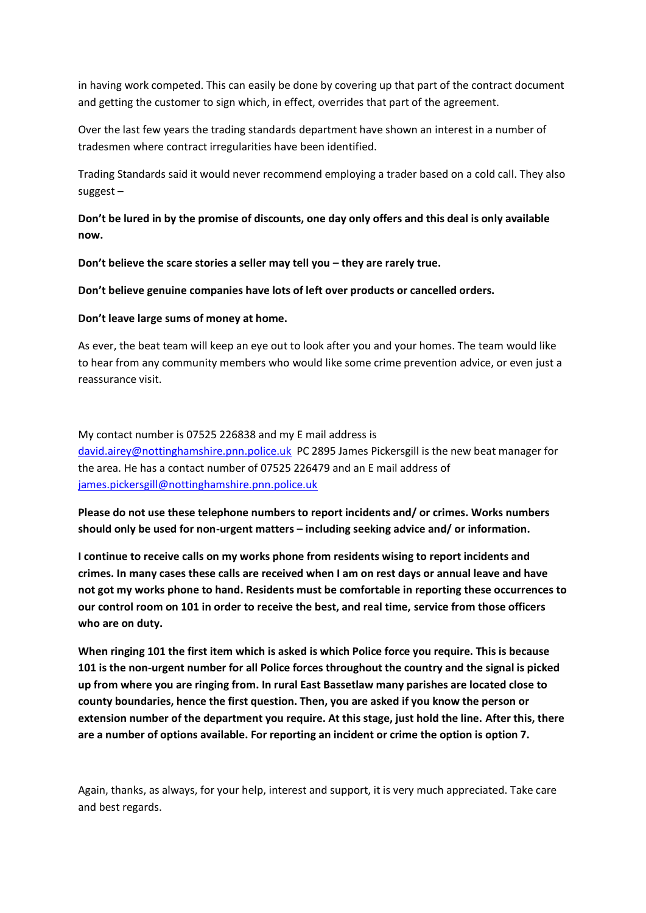in having work competed. This can easily be done by covering up that part of the contract document and getting the customer to sign which, in effect, overrides that part of the agreement.

Over the last few years the trading standards department have shown an interest in a number of tradesmen where contract irregularities have been identified.

Trading Standards said it would never recommend employing a trader based on a cold call. They also suggest –

**Don't be lured in by the promise of discounts, one day only offers and this deal is only available now.**

**Don't believe the scare stories a seller may tell you – they are rarely true.**

**Don't believe genuine companies have lots of left over products or cancelled orders.**

## **Don't leave large sums of money at home.**

As ever, the beat team will keep an eye out to look after you and your homes. The team would like to hear from any community members who would like some crime prevention advice, or even just a reassurance visit.

My contact number is 07525 226838 and my E mail address is [david.airey@nottinghamshire.pnn.police.uk](about:blank) PC 2895 James Pickersgill is the new beat manager for the area. He has a contact number of 07525 226479 and an E mail address of [james.pickersgill@nottinghamshire.pnn.police.uk](about:blank)

**Please do not use these telephone numbers to report incidents and/ or crimes. Works numbers should only be used for non-urgent matters – including seeking advice and/ or information.**

**I continue to receive calls on my works phone from residents wising to report incidents and crimes. In many cases these calls are received when I am on rest days or annual leave and have not got my works phone to hand. Residents must be comfortable in reporting these occurrences to our control room on 101 in order to receive the best, and real time, service from those officers who are on duty.**

**When ringing 101 the first item which is asked is which Police force you require. This is because 101 is the non-urgent number for all Police forces throughout the country and the signal is picked up from where you are ringing from. In rural East Bassetlaw many parishes are located close to county boundaries, hence the first question. Then, you are asked if you know the person or extension number of the department you require. At this stage, just hold the line. After this, there are a number of options available. For reporting an incident or crime the option is option 7.**

Again, thanks, as always, for your help, interest and support, it is very much appreciated. Take care and best regards.